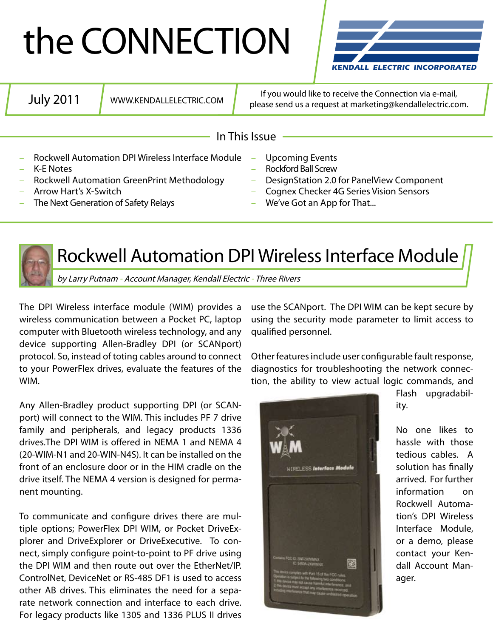# the CONNECTION



July 2011

WWW.KENDALLELECTRIC.COM  $\int$  if you would like to receive the Connection via e-mail, please send us a request at marketing@kendallelectric.com.

### In This Issue

- Rockwell Automation DPI Wireless Interface Module –
- K-E Notes –
- Rockwell Automation GreenPrint Methodology –
- Arrow Hart's X-Switch –
- The Next Generation of Safety Relays –
- Upcoming Events –
- Rockford Ball Screw –
- DesignStation 2.0 for PanelView Component –
- Cognex Checker 4G Series Vision Sensors –
- We've Got an App for That... –



# Rockwell Automation DPI Wireless Interface Module

by Larry Putnam - Account Manager, Kendall Electric - Three Rivers

The DPI Wireless interface module (WIM) provides a wireless communication between a Pocket PC, laptop computer with Bluetooth wireless technology, and any device supporting Allen-Bradley DPI (or SCANport) protocol. So, instead of toting cables around to connect to your PowerFlex drives, evaluate the features of the WIM.

Any Allen-Bradley product supporting DPI (or SCANport) will connect to the WIM. This includes PF 7 drive family and peripherals, and legacy products 1336 drives.The DPI WIM is offered in NEMA 1 and NEMA 4 (20-WIM-N1 and 20-WIN-N4S). It can be installed on the front of an enclosure door or in the HIM cradle on the drive itself. The NEMA 4 version is designed for permanent mounting.

To communicate and configure drives there are multiple options; PowerFlex DPI WIM, or Pocket DriveExplorer and DriveExplorer or DriveExecutive. To connect, simply configure point-to-point to PF drive using the DPI WIM and then route out over the EtherNet/IP. ControlNet, DeviceNet or RS-485 DF1 is used to access other AB drives. This eliminates the need for a separate network connection and interface to each drive. For legacy products like 1305 and 1336 PLUS II drives

use the SCANport. The DPI WIM can be kept secure by using the security mode parameter to limit access to qualified personnel.

Other features include user configurable fault response, diagnostics for troubleshooting the network connection, the ability to view actual logic commands, and



Flash upgradability.

No one likes to hassle with those tedious cables. A solution has finally arrived. For further information on Rockwell Automation's DPI Wireless Interface Module, or a demo, please contact your Kendall Account Manager.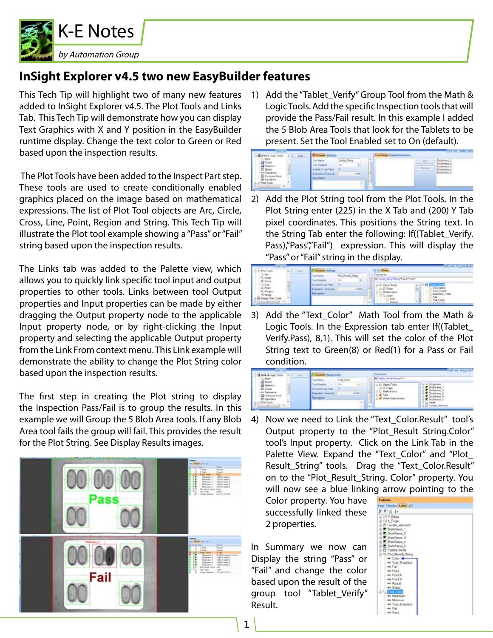

### **InSight Explorer v4.5 two new EasyBuilder features**

This Tech Tip will highlight two of many new features added to InSight Explorer v4.5. The Plot Tools and Links Tab. This Tech Tip will demonstrate how you can display Text Graphics with X and Y position in the EasyBuilder runtime display. Change the text color to Green or Red based upon the inspection results.

 The Plot Tools have been added to the Inspect Part step. These tools are used to create conditionally enabled graphics placed on the image based on mathematical expressions. The list of Plot Tool objects are Arc, Circle, Cross, Line, Point, Region and String. This Tech Tip will illustrate the Plot tool example showing a "Pass" or "Fail" string based upon the inspection results.

The Links tab was added to the Palette view, which allows you to quickly link specific tool input and output properties to other tools. Links between tool Output properties and Input properties can be made by either dragging the Output property node to the applicable Input property node, or by right-clicking the Input property and selecting the applicable Output property from the Link From context menu. This Link example will demonstrate the ability to change the Plot String color based upon the inspection results.

The first step in creating the Plot string to display the Inspection Pass/Fail is to group the results. In this example we will Group the 5 Blob Area tools. If any Blob Area tool fails the group will fail. This provides the result for the Plot String. See Display Results images.



1) Add the "Tablet\_Verify" Group Tool from the Math & Logic Tools. Add the specific Inspection tools that will provide the Pass/Fail result. In this example I added the 5 Blob Area Tools that look for the Tablets to be present. Set the Tool Enabled set to On (default).



2) Add the Plot String tool from the Plot Tools. In the Plot String enter (225) in the X Tab and (200) Y Tab pixel coordinates. This positions the String text. In the String Tab enter the following: If((Tablet\_Verify. Pass),"Pass","Fail") expression. This will display the "Pass" or "Fail" string in the display.



Add the "Text\_Color" Math Tool from the Math & Logic Tools. In the Expression tab enter If((Tablet\_ Verify.Pass), 8,1). This will set the color of the Plot String text to Green(8) or Red(1) for a Pass or Fail condition. 3)



4) Now we need to Link the "Text\_Color.Result" tool's Output property to the "Plot Result String.Color" tool's Input property. Click on the Link Tab in the Palette View. Expand the "Text\_Color" and "Plot\_ Result String" tools. Drag the "Text Color.Result" on to the "Plot\_Result\_String. Color" property. You will now see a blue linking arrow pointing to the

Color property. You have successfully linked these 2 properties.

In Summary we now can Display the string "Pass" or "Fail" and change the color based upon the result of the group tool "Tablet\_Verify" Result.

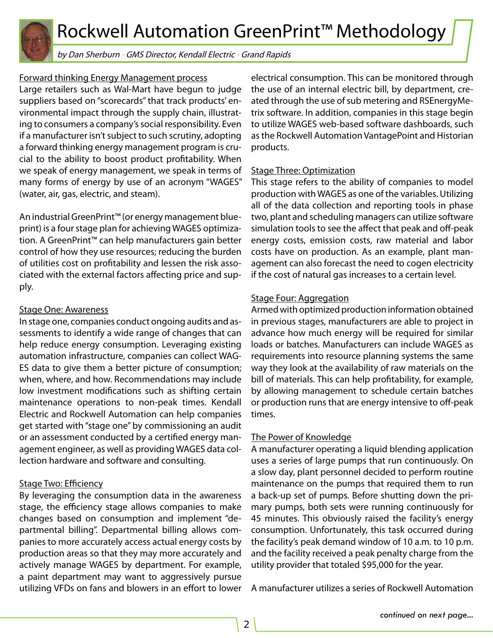Rockwell Automation GreenPrint™ Methodology



### Forward thinking Energy Management process

Large retailers such as Wal-Mart have begun to judge suppliers based on "scorecards" that track products' environmental impact through the supply chain, illustrating to consumers a company's social responsibility. Even if a manufacturer isn't subject to such scrutiny, adopting a forward thinking energy management program is crucial to the ability to boost product profitability. When we speak of energy management, we speak in terms of many forms of energy by use of an acronym "WAGES" (water, air, gas, electric, and steam).

An industrial GreenPrint™ (or energy management blueprint) is a four stage plan for achieving WAGES optimization. A GreenPrint™ can help manufacturers gain better control of how they use resources; reducing the burden of utilities cost on profitability and lessen the risk associated with the external factors affecting price and supply.

### Stage One: Awareness

In stage one, companies conduct ongoing audits and assessments to identify a wide range of changes that can help reduce energy consumption. Leveraging existing automation infrastructure, companies can collect WAG-ES data to give them a better picture of consumption; when, where, and how. Recommendations may include low investment modifications such as shifting certain maintenance operations to non-peak times. Kendall Electric and Rockwell Automation can help companies get started with "stage one" by commissioning an audit or an assessment conducted by a certified energy management engineer, as well as providing WAGES data collection hardware and software and consulting.

### Stage Two: Efficiency

By leveraging the consumption data in the awareness stage, the efficiency stage allows companies to make changes based on consumption and implement "departmental billing". Departmental billing allows companies to more accurately access actual energy costs by production areas so that they may more accurately and actively manage WAGES by department. For example, a paint department may want to aggressively pursue utilizing VFDs on fans and blowers in an effort to lower

electrical consumption. This can be monitored through the use of an internal electric bill, by department, created through the use of sub metering and RSEnergyMetrix software. In addition, companies in this stage begin to utilize WAGES web-based software dashboards, such as the Rockwell Automation VantagePoint and Historian products.

### Stage Three: Optimization

This stage refers to the ability of companies to model production with WAGES as one of the variables. Utilizing all of the data collection and reporting tools in phase two, plant and scheduling managers can utilize software simulation tools to see the affect that peak and off-peak energy costs, emission costs, raw material and labor costs have on production. As an example, plant management can also forecast the need to cogen electricity if the cost of natural gas increases to a certain level.

### Stage Four: Aggregation

Armed with optimized production information obtained in previous stages, manufacturers are able to project in advance how much energy will be required for similar loads or batches. Manufacturers can include WAGES as requirements into resource planning systems the same way they look at the availability of raw materials on the bill of materials. This can help profitability, for example, by allowing management to schedule certain batches or production runs that are energy intensive to off-peak times.

### The Power of Knowledge

A manufacturer operating a liquid blending application uses a series of large pumps that run continuously. On a slow day, plant personnel decided to perform routine maintenance on the pumps that required them to run a back-up set of pumps. Before shutting down the primary pumps, both sets were running continuously for 45 minutes. This obviously raised the facility's energy consumption. Unfortunately, this task occurred during the facility's peak demand window of 10 a.m. to 10 p.m. and the facility received a peak penalty charge from the utility provider that totaled \$95,000 for the year.

A manufacturer utilizes a series of Rockwell Automation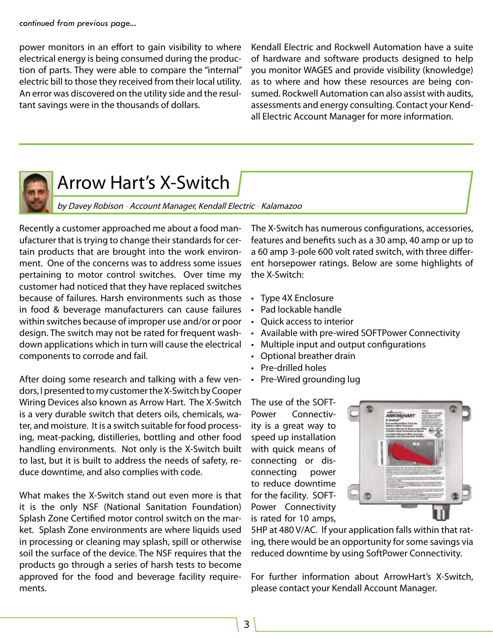#### *continued from previous page...*

power monitors in an effort to gain visibility to where electrical energy is being consumed during the production of parts. They were able to compare the "internal" electric bill to those they received from their local utility. An error was discovered on the utility side and the resultant savings were in the thousands of dollars.

Kendall Electric and Rockwell Automation have a suite of hardware and software products designed to help you monitor WAGES and provide visibility (knowledge) as to where and how these resources are being consumed. Rockwell Automation can also assist with audits, assessments and energy consulting. Contact your Kendall Electric Account Manager for more information.



# Arrow Hart's X-Switch

by Davey Robison - Account Manager, Kendall Electric - Kalamazoo

Recently a customer approached me about a food manufacturer that is trying to change their standards for certain products that are brought into the work environment. One of the concerns was to address some issues pertaining to motor control switches. Over time my customer had noticed that they have replaced switches because of failures. Harsh environments such as those in food & beverage manufacturers can cause failures within switches because of improper use and/or or poor design. The switch may not be rated for frequent washdown applications which in turn will cause the electrical components to corrode and fail.

After doing some research and talking with a few vendors, I presented to my customer the X-Switch by Cooper Wiring Devices also known as Arrow Hart. The X-Switch is a very durable switch that deters oils, chemicals, water, and moisture. It is a switch suitable for food processing, meat-packing, distilleries, bottling and other food handling environments. Not only is the X-Switch built to last, but it is built to address the needs of safety, reduce downtime, and also complies with code.

What makes the X-Switch stand out even more is that it is the only NSF (National Sanitation Foundation) Splash Zone Certified motor control switch on the market. Splash Zone environments are where liquids used in processing or cleaning may splash, spill or otherwise soil the surface of the device. The NSF requires that the products go through a series of harsh tests to become approved for the food and beverage facility requirements.

The X-Switch has numerous configurations, accessories, features and benefits such as a 30 amp, 40 amp or up to a 60 amp 3-pole 600 volt rated switch, with three different horsepower ratings. Below are some highlights of the X-Switch:

- Type 4X Enclosure
- Pad lockable handle
- Quick access to interior •
- Available with pre-wired SOFTPower Connectivity •
- Multiple input and output configurations •
- Optional breather drain
- Pre-drilled holes
- Pre-Wired grounding lug

The use of the SOFT-Power Connectivity is a great way to speed up installation with quick means of connecting or disconnecting power to reduce downtime for the facility. SOFT-Power Connectivity is rated for 10 amps,



5HP at 480 V/AC. If your application falls within that rating, there would be an opportunity for some savings via reduced downtime by using SoftPower Connectivity.

For further information about ArrowHart's X-Switch, please contact your Kendall Account Manager.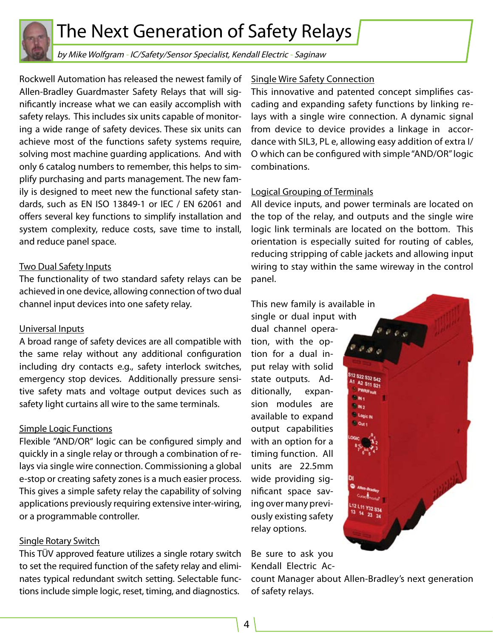

# The Next Generation of Safety Relays

by Mike Wolfgram - IC/Safety/Sensor Specialist, Kendall Electric - Saginaw

Rockwell Automation has released the newest family of Allen-Bradley Guardmaster Safety Relays that will significantly increase what we can easily accomplish with safety relays. This includes six units capable of monitoring a wide range of safety devices. These six units can achieve most of the functions safety systems require, solving most machine guarding applications. And with only 6 catalog numbers to remember, this helps to simplify purchasing and parts management. The new family is designed to meet new the functional safety standards, such as EN ISO 13849-1 or IEC / EN 62061 and offers several key functions to simplify installation and system complexity, reduce costs, save time to install, and reduce panel space.

### Two Dual Safety Inputs

The functionality of two standard safety relays can be achieved in one device, allowing connection of two dual channel input devices into one safety relay.

### Universal Inputs

A broad range of safety devices are all compatible with the same relay without any additional configuration including dry contacts e.g., safety interlock switches, emergency stop devices. Additionally pressure sensitive safety mats and voltage output devices such as safety light curtains all wire to the same terminals.

### Simple Logic Functions

Flexible "AND/OR" logic can be configured simply and quickly in a single relay or through a combination of relays via single wire connection. Commissioning a global e-stop or creating safety zones is a much easier process. This gives a simple safety relay the capability of solving applications previously requiring extensive inter-wiring, or a programmable controller.

### Single Rotary Switch

This TÜV approved feature utilizes a single rotary switch to set the required function of the safety relay and eliminates typical redundant switch setting. Selectable functions include simple logic, reset, timing, and diagnostics.

### Single Wire Safety Connection

This innovative and patented concept simplifies cascading and expanding safety functions by linking relays with a single wire connection. A dynamic signal from device to device provides a linkage in accordance with SIL3, PL e, allowing easy addition of extra I/ O which can be configured with simple "AND/OR" logic combinations.

#### Logical Grouping of Terminals

All device inputs, and power terminals are located on the top of the relay, and outputs and the single wire logic link terminals are located on the bottom. This orientation is especially suited for routing of cables, reducing stripping of cable jackets and allowing input wiring to stay within the same wireway in the control panel.

This new family is available in single or dual input with

dual channel operation, with the option for a dual input relay with solid state outputs. Additionally, expansion modules are available to expand output capabilities with an option for a timing function. All units are 22.5mm wide providing significant space saving over many previously existing safety relay options.

Be sure to ask you Kendall Electric Ac-

count Manager about Allen-Bradley's next generation of safety relays.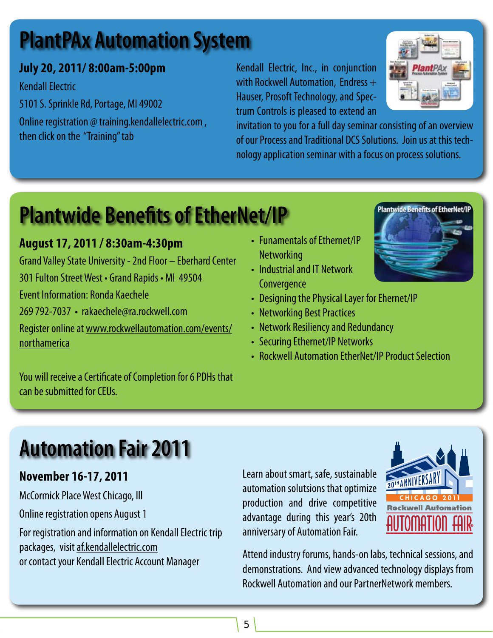# **PlantPAx Automation System**

## **July 20, 2011/ 8:00am-5:00pm**

Kendall Electric 5101 S. Sprinkle Rd, Portage, MI 49002 Online registration @ training.kendallelectric.com , then click on the "Training" tab

Kendall Electric, Inc., in conjunction with Rockwell Automation, Endress + Hauser, Prosoft Technology, and Spectrum Controls is pleased to extend an



invitation to you for a full day seminar consisting of an overview of our Process and Traditional DCS Solutions. Join us at this technology application seminar with a focus on process solutions.

# **Plantwide Benefits of EtherNet/IP**

## **August 17, 2011 / 8:30am-4:30pm**

Grand Valley State University - 2nd Floor – Eberhard Center 301 Fulton Street West • Grand Rapids • MI 49504 Event Information: Ronda Kaechele 269 792-7037 • rakaechele@ra.rockwell.com Register online at www.rockwellautomation.com/events/ northamerica

- Funamentals of Ethernet/IP **Networking**
- Industrial and IT Network **Convergence**



- Designing the Physical Layer for Ehernet/IP
- Networking Best Practices
- Network Resiliency and Redundancy
- Securing Ethernet/IP Networks
- Rockwell Automation EtherNet/IP Product Selection

You will receive a Certificate of Completion for 6 PDHs that can be submitted for CEUs.

# **Automation Fair 2011**

### **November 16-17, 2011**

McCormick Place West Chicago, Ill

Online registration opens August 1

For registration and information on Kendall Electric trip packages, visit af.kendallelectric.com or contact your Kendall Electric Account Manager

Learn about smart, safe, sustainable automation solutsions that optimize production and drive competitive advantage during this year's 20th anniversary of Automation Fair.



Attend industry forums, hands-on labs, technical sessions, and demonstrations. And view advanced technology displays from Rockwell Automation and our PartnerNetwork members.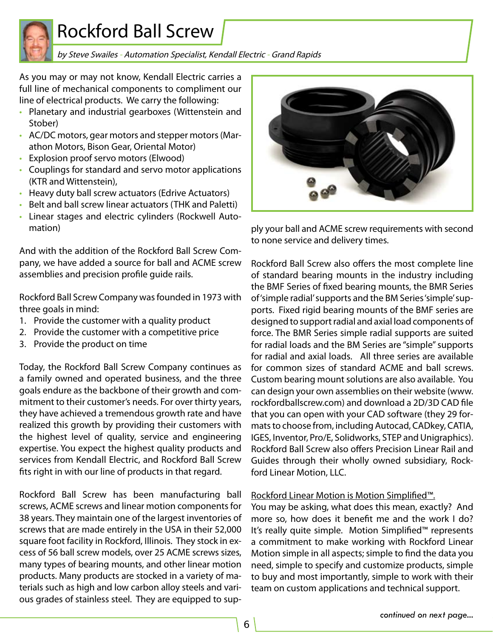

# Rockford Ball Screw

by Steve Swailes - Automation Specialist, Kendall Electric - Grand Rapids

As you may or may not know, Kendall Electric carries a full line of mechanical components to compliment our line of electrical products. We carry the following:

- Planetary and industrial gearboxes (Wittenstein and Stober)
- AC/DC motors, gear motors and stepper motors (Mar-• athon Motors, Bison Gear, Oriental Motor)
- Explosion proof servo motors (Elwood) •
- Couplings for standard and servo motor applications (KTR and Wittenstein),
- Heavy duty ball screw actuators (Edrive Actuators)
- Belt and ball screw linear actuators (THK and Paletti) •
- Linear stages and electric cylinders (Rockwell Automation)

And with the addition of the Rockford Ball Screw Company, we have added a source for ball and ACME screw assemblies and precision profile guide rails.

Rockford Ball Screw Company was founded in 1973 with three goals in mind:

- 1. Provide the customer with a quality product
- 2. Provide the customer with a competitive price
- 3. Provide the product on time

Today, the Rockford Ball Screw Company continues as a family owned and operated business, and the three goals endure as the backbone of their growth and commitment to their customer's needs. For over thirty years, they have achieved a tremendous growth rate and have realized this growth by providing their customers with the highest level of quality, service and engineering expertise. You expect the highest quality products and services from Kendall Electric, and Rockford Ball Screw fits right in with our line of products in that regard.

Rockford Ball Screw has been manufacturing ball screws, ACME screws and linear motion components for 38 years. They maintain one of the largest inventories of screws that are made entirely in the USA in their 52,000 square foot facility in Rockford, Illinois. They stock in excess of 56 ball screw models, over 25 ACME screws sizes, many types of bearing mounts, and other linear motion products. Many products are stocked in a variety of materials such as high and low carbon alloy steels and various grades of stainless steel. They are equipped to sup-



ply your ball and ACME screw requirements with second to none service and delivery times.

Rockford Ball Screw also offers the most complete line of standard bearing mounts in the industry including the BMF Series of fixed bearing mounts, the BMR Series of 'simple radial' supports and the BM Series 'simple' supports. Fixed rigid bearing mounts of the BMF series are designed to support radial and axial load components of force. The BMR Series simple radial supports are suited for radial loads and the BM Series are "simple" supports for radial and axial loads. All three series are available for common sizes of standard ACME and ball screws. Custom bearing mount solutions are also available. You can design your own assemblies on their website (www. rockfordballscrew.com) and download a 2D/3D CAD file that you can open with your CAD software (they 29 formats to choose from, including Autocad, CADkey, CATIA, IGES, Inventor, Pro/E, Solidworks, STEP and Unigraphics). Rockford Ball Screw also offers Precision Linear Rail and Guides through their wholly owned subsidiary, Rockford Linear Motion, LLC.

### Rockford Linear Motion is Motion Simplified™.

You may be asking, what does this mean, exactly? And more so, how does it benefit me and the work I do? It's really quite simple. Motion Simplified™ represents a commitment to make working with Rockford Linear Motion simple in all aspects; simple to find the data you need, simple to specify and customize products, simple to buy and most importantly, simple to work with their team on custom applications and technical support.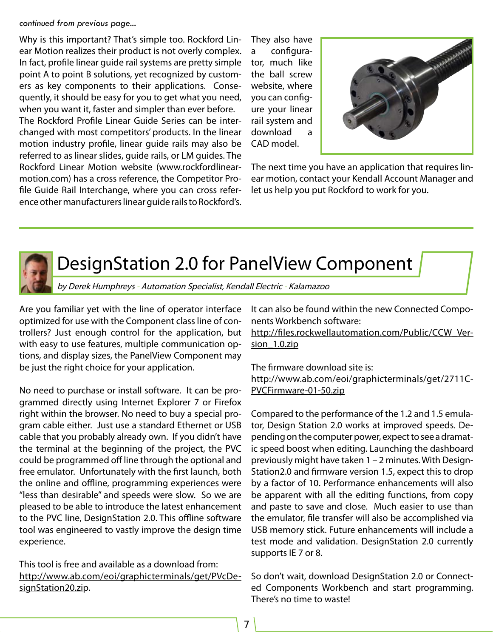#### *continued from previous page...*

Why is this important? That's simple too. Rockford Linear Motion realizes their product is not overly complex. In fact, profile linear guide rail systems are pretty simple point A to point B solutions, yet recognized by customers as key components to their applications. Consequently, it should be easy for you to get what you need, when you want it, faster and simpler than ever before.

The Rockford Profile Linear Guide Series can be interchanged with most competitors' products. In the linear motion industry profile, linear guide rails may also be referred to as linear slides, guide rails, or LM guides. The Rockford Linear Motion website (www.rockfordlinearmotion.com) has a cross reference, the Competitor Profile Guide Rail Interchange, where you can cross reference other manufacturers linear guide rails to Rockford's.

They also have a configurator, much like the ball screw website, where you can configure your linear rail system and download a CAD model.



The next time you have an application that requires linear motion, contact your Kendall Account Manager and let us help you put Rockford to work for you.



# DesignStation 2.0 for PanelView Component

by Derek Humphreys - Automation Specialist, Kendall Electric - Kalamazoo

Are you familiar yet with the line of operator interface optimized for use with the Component class line of controllers? Just enough control for the application, but with easy to use features, multiple communication options, and display sizes, the PanelView Component may be just the right choice for your application.

No need to purchase or install software. It can be programmed directly using Internet Explorer 7 or Firefox right within the browser. No need to buy a special program cable either. Just use a standard Ethernet or USB cable that you probably already own. If you didn't have the terminal at the beginning of the project, the PVC could be programmed off line through the optional and free emulator. Unfortunately with the first launch, both the online and offline, programming experiences were "less than desirable" and speeds were slow. So we are pleased to be able to introduce the latest enhancement to the PVC line, DesignStation 2.0. This offline software tool was engineered to vastly improve the design time experience.

This tool is free and available as a download from: http://www.ab.com/eoi/graphicterminals/get/PVcDesignStation20.zip.

It can also be found within the new Connected Components Workbench software:

http://files.rockwellautomation.com/Public/CCW\_Version\_1.0.zip

The firmware download site is: http://www.ab.com/eoi/graphicterminals/get/2711C-PVCFirmware-01-50.zip

Compared to the performance of the 1.2 and 1.5 emulator, Design Station 2.0 works at improved speeds. Depending on the computer power, expect to see a dramatic speed boost when editing. Launching the dashboard previously might have taken 1 – 2 minutes. With Design-Station2.0 and firmware version 1.5, expect this to drop by a factor of 10. Performance enhancements will also be apparent with all the editing functions, from copy and paste to save and close. Much easier to use than the emulator, file transfer will also be accomplished via USB memory stick. Future enhancements will include a test mode and validation. DesignStation 2.0 currently supports IE 7 or 8.

So don't wait, download DesignStation 2.0 or Connected Components Workbench and start programming. There's no time to waste!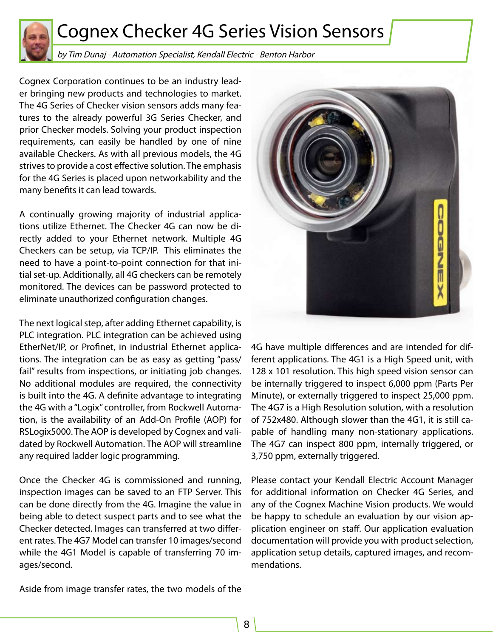

by Tim Dunaj - Automation Specialist, Kendall Electric - Benton Harbor

Cognex Corporation continues to be an industry leader bringing new products and technologies to market. The 4G Series of Checker vision sensors adds many features to the already powerful 3G Series Checker, and prior Checker models. Solving your product inspection requirements, can easily be handled by one of nine available Checkers. As with all previous models, the 4G strives to provide a cost effective solution. The emphasis for the 4G Series is placed upon networkability and the many benefits it can lead towards.

A continually growing majority of industrial applications utilize Ethernet. The Checker 4G can now be directly added to your Ethernet network. Multiple 4G Checkers can be setup, via TCP/IP. This eliminates the need to have a point-to-point connection for that initial set-up. Additionally, all 4G checkers can be remotely monitored. The devices can be password protected to eliminate unauthorized configuration changes.

The next logical step, after adding Ethernet capability, is PLC integration. PLC integration can be achieved using EtherNet/IP, or Profinet, in industrial Ethernet applications. The integration can be as easy as getting "pass/ fail" results from inspections, or initiating job changes. No additional modules are required, the connectivity is built into the 4G. A definite advantage to integrating the 4G with a "Logix" controller, from Rockwell Automation, is the availability of an Add-On Profile (AOP) for RSLogix5000. The AOP is developed by Cognex and validated by Rockwell Automation. The AOP will streamline any required ladder logic programming.

Once the Checker 4G is commissioned and running, inspection images can be saved to an FTP Server. This can be done directly from the 4G. Imagine the value in being able to detect suspect parts and to see what the Checker detected. Images can transferred at two different rates. The 4G7 Model can transfer 10 images/second while the 4G1 Model is capable of transferring 70 images/second.



4G have multiple differences and are intended for different applications. The 4G1 is a High Speed unit, with 128 x 101 resolution. This high speed vision sensor can be internally triggered to inspect 6,000 ppm (Parts Per Minute), or externally triggered to inspect 25,000 ppm. The 4G7 is a High Resolution solution, with a resolution of 752x480. Although slower than the 4G1, it is still capable of handling many non-stationary applications. The 4G7 can inspect 800 ppm, internally triggered, or 3,750 ppm, externally triggered.

Please contact your Kendall Electric Account Manager for additional information on Checker 4G Series, and any of the Cognex Machine Vision products. We would be happy to schedule an evaluation by our vision application engineer on staff. Our application evaluation documentation will provide you with product selection, application setup details, captured images, and recommendations.

Aside from image transfer rates, the two models of the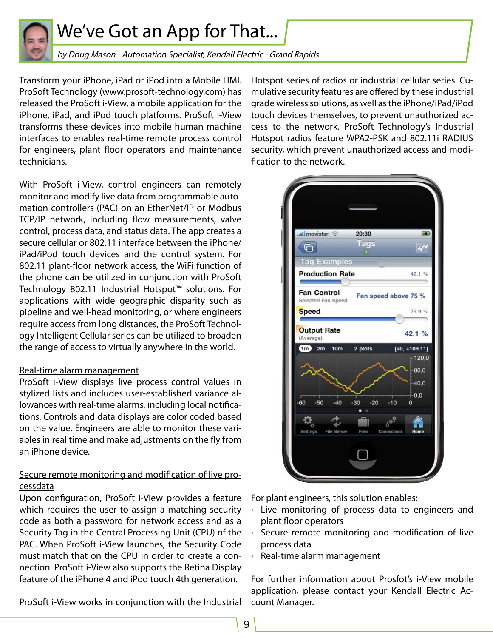

# We've Got an App for That...

by Doug Mason - Automation Specialist, Kendall Electric - Grand Rapids

Transform your iPhone, iPad or iPod into a Mobile HMI. ProSoft Technology (www.prosoft-technology.com) has released the ProSoft i-View, a mobile application for the iPhone, iPad, and iPod touch platforms. ProSoft i-View transforms these devices into mobile human machine interfaces to enables real-time remote process control for engineers, plant floor operators and maintenance technicians.

With ProSoft i-View, control engineers can remotely monitor and modify live data from programmable automation controllers (PAC) on an EtherNet/IP or Modbus TCP/IP network, including flow measurements, valve control, process data, and status data. The app creates a secure cellular or 802.11 interface between the iPhone/ iPad/iPod touch devices and the control system. For 802.11 plant-floor network access, the WiFi function of the phone can be utilized in conjunction with ProSoft Technology 802.11 Industrial Hotspot™ solutions. For applications with wide geographic disparity such as pipeline and well-head monitoring, or where engineers require access from long distances, the ProSoft Technology Intelligent Cellular series can be utilized to broaden the range of access to virtually anywhere in the world.

#### Real-time alarm management

ProSoft i-View displays live process control values in stylized lists and includes user-established variance allowances with real-time alarms, including local notifications. Controls and data displays are color coded based on the value. Engineers are able to monitor these variables in real time and make adjustments on the fly from an iPhone device.

### Secure remote monitoring and modification of live processdata

Upon configuration, ProSoft i-View provides a feature which requires the user to assign a matching security code as both a password for network access and as a Security Tag in the Central Processing Unit (CPU) of the PAC. When ProSoft i-View launches, the Security Code must match that on the CPU in order to create a connection. ProSoft i-View also supports the Retina Display feature of the iPhone 4 and iPod touch 4th generation.

ProSoft i-View works in conjunction with the Industrial

Hotspot series of radios or industrial cellular series. Cumulative security features are offered by these industrial grade wireless solutions, as well as the iPhone/iPad/iPod touch devices themselves, to prevent unauthorized access to the network. ProSoft Technology's Industrial Hotspot radios feature WPA2-PSK and 802.11i RADIUS security, which prevent unauthorized access and modification to the network.



For plant engineers, this solution enables:

- Live monitoring of process data to engineers and plant floor operators •
- Secure remote monitoring and modification of live process data •
- Real-time alarm management

For further information about Prosfot's i-View mobile application, please contact your Kendall Electric Account Manager.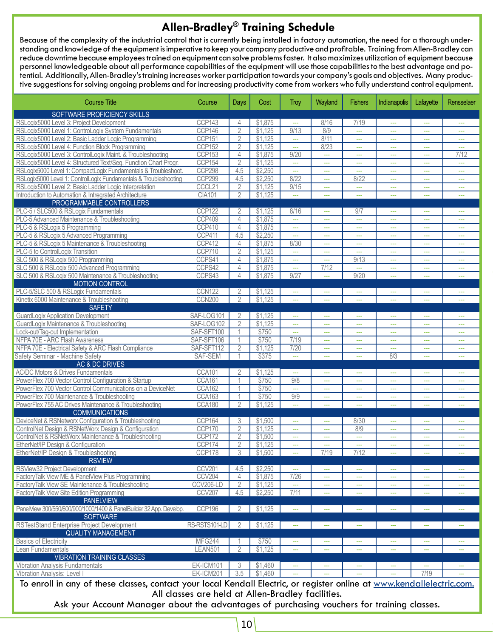### **Allen-Bradley® Training Schedule**

Because of the complexity of the industrial control that is currently being installed in factory automation, the need for a thorough understanding and knowledge of the equipment is imperative to keep your company productive and profitable. Training from Allen-Bradley can reduce downtime because employees trained on equipment can solve problems faster. It also maximizes utilization of equipment because personnel knowledgeable about all performance capabilities of the equipment will use those capabilities to the best advantage and potential. Additionally, Allen-Bradley's training increases worker participation towards your company's goals and objectives. Many productive suggestions for solving ongoing problems and for increasing productivity come from workers who fully understand control equipment.

| <b>Course Title</b>                                                                                                    | Course        | Days           | Cost               | Troy                     | Wayland                  | <b>Fishers</b>           | Indianapolis             | Lafayette                | Rensselaer               |
|------------------------------------------------------------------------------------------------------------------------|---------------|----------------|--------------------|--------------------------|--------------------------|--------------------------|--------------------------|--------------------------|--------------------------|
| <b>SOFTWARE PROFICIENCY SKILLS</b>                                                                                     |               |                |                    |                          |                          |                          |                          |                          |                          |
| RSLogix5000 Level 3: Project Development                                                                               | <b>CCP143</b> | 4              | \$1,875            | $\overline{a}$           | 8/16                     | 7/19                     | $\sim$                   | ---                      | $\sim$                   |
| RSLogix5000 Level 1: ControLogix System Fundamentals                                                                   | <b>CCP146</b> | $\overline{2}$ | \$1,125            | 9/13                     | 8/9                      | <u></u>                  | $\overline{a}$           | ---                      | <u></u>                  |
| RSLogix5000 Level 2: Basic Ladder Logic Programming                                                                    | <b>CCP151</b> | 2              | \$1.125            | $\overline{\phantom{a}}$ | 8/11                     | ---                      | ---                      | ---                      | $\overline{a}$           |
| RSLogix5000 Level 4: Function Block Programming                                                                        | <b>CCP152</b> | 2              | \$1,125            | ---                      | 8/23                     | ---                      | ---                      | ---                      | $\sim$                   |
| RSLogix5000 Level 3: ControlLogix Maint. & Troubleshooting                                                             | <b>CCP153</b> | $\overline{4}$ | \$1,875            | 9/20                     | шL,                      | ---                      | $\overline{a}$           | ---                      | 7/12                     |
| RSLogix5000 Level 4: Structured Text/Seq. Function Chart Progr.                                                        | <b>CCP154</b> | $\overline{2}$ | \$1,125            | $\overline{\phantom{a}}$ | ---                      | ---                      | ---                      | ---                      | ---                      |
| RSLogix5000 Level 1: CompactLogix Fundamentals & Troubleshoot.                                                         | <b>CCP298</b> | 4.5            | \$2,250            | ---                      | $\frac{1}{2}$            | ---                      | $- - -$                  | $- - -$                  | $\sim$                   |
| RSLogix5000 Level 1: ControlLogix Fundamentals & Troubleshooting                                                       | <b>CCP299</b> | 4.5            | \$2,250            | 8/22                     | $\overline{a}$           | 8/22                     | $\overline{a}$           | ---                      | $\overline{a}$           |
| RSLogix5000 Level 2: Basic Ladder Logic Interpretation                                                                 | CCCL21        | 2              | \$1,125            | 9/15                     | ---                      | ---                      | ---                      | ---                      | ---                      |
| Introduction to Automation & Intregrated Architecture                                                                  | <b>CIA101</b> | $\overline{2}$ | \$1,125            |                          |                          |                          |                          |                          | $\sim$                   |
| PROGRAMMABLE CONTROLLERS                                                                                               |               |                |                    |                          |                          |                          |                          |                          |                          |
| PLC-5 / SLC500 & RSLogix Fundamentals                                                                                  | <b>CCP122</b> | 2              | \$1,125            | 8/16                     | ---                      | 9/7                      | ---                      | ---                      | $\overline{a}$           |
| PLC-5 Advanced Maintenance & Troubleshooting                                                                           | <b>CCP409</b> | 4              | \$1,875            | $\frac{1}{2}$            | $---$                    | <u></u>                  | ---                      | ---                      | $\sim$                   |
| PLC-5 & RSLogix 5 Programming                                                                                          | <b>CCP410</b> | 4              | \$1,875            | $\overline{a}$           | $\overline{a}$           | $\overline{a}$           | ---                      | ---                      | ---                      |
| PLC-5 & RSLogix 5 Advanced Programming                                                                                 | <b>CCP411</b> | 4.5            | \$2,250            | ---                      | ---                      | ---                      | ---                      | ---                      | ---                      |
| PLC-5 & RSLogix 5 Maintenance & Troubleshooting                                                                        | <b>CCP412</b> | 4              | \$1,875            | 8/30                     | $- - -$                  | ---                      | ---                      | ---                      | $- - -$                  |
| PLC-5 to ControlLogix Transition                                                                                       | <b>CCP710</b> | $\overline{2}$ | \$1,125            | $\overline{a}$           | ---                      | $\overline{a}$           | $\overline{a}$           | ---                      | $\frac{1}{2}$            |
| SLC 500 & RSLogix 500 Programming                                                                                      | CCPS41        | 4              | \$1,875            | ---                      | ---                      | 9/13                     | ---                      | ---                      | ---                      |
| SLC 500 & RSLogix 500 Advanced Programming                                                                             | CCPS42        | 4              | \$1,875            | $\overline{a}$           | 7/12                     | ---                      | $\sim$                   | $\overline{a}$           | $\sim$                   |
| SLC 500 & RSLogix 500 Maintenance & Troubleshooting                                                                    | CCPS43        | $\overline{4}$ | \$1,875            | 9/27                     | <u></u>                  | 9/20                     | $\overline{a}$           | $\overline{a}$           | $\sim$                   |
| <b>MOTION CONTROL</b>                                                                                                  |               |                |                    |                          |                          |                          |                          |                          |                          |
| PLC-5/SLC 500 & RSLogix Fundamentals                                                                                   | <b>CCN122</b> | 2              | \$1,125            | $\sim$                   | $\overline{a}$           | ---                      | $\sim$                   | $\sim$                   | $\sim$                   |
| Kinetix 6000 Maintenance & Troubleshooting                                                                             | <b>CCN200</b> | $\overline{2}$ | \$1,125            | $\overline{\phantom{a}}$ | <u></u>                  | $\overline{a}$           | $\overline{a}$           | $\frac{1}{2}$            | $\sim$                   |
| <b>SAFETY</b>                                                                                                          |               |                |                    |                          |                          |                          |                          |                          |                          |
| <b>GuardLogix Application Development</b>                                                                              | SAF-LOG101    | 2              | \$1,125            | $\overline{a}$           | $\overline{a}$           | ---                      | ---                      | ---                      | $\sim$                   |
| GuardLogix Maintenance & Troubleshooting                                                                               | SAF-LOG102    | $\overline{2}$ | \$1,125            | 44                       | $\overline{a}$           | $\overline{a}$           | ---                      | ---                      | ---                      |
| Lock-out/Tag-out Implementation                                                                                        | SAF-SFT100    | 1              | \$750              | ---                      | ---                      | ---                      | ---                      | ---                      | $\overline{a}$           |
| NFPA 70E - ARC Flash Awareness                                                                                         | SAF-SFT106    | 1              | \$750              | 7/19                     | $- - -$                  | ---                      | ---                      | ---                      | $- - -$                  |
| NFPA 70E - Electrical Safety & ARC Flash Compliance                                                                    | SAF-SFT112    | $\overline{2}$ | \$1,125            | 7/20                     | ---                      | ---                      | $\overline{a}$           | $\overline{\phantom{a}}$ | ---                      |
| Safety Seminar - Machine Safety                                                                                        | SAF-SEM       | $\mathbf{1}$   | \$375              | $\overline{a}$           | ---                      | ---                      | 8/3                      | $\overline{\phantom{a}}$ | ---                      |
| AC & DC DRIVES                                                                                                         |               |                |                    |                          |                          |                          |                          |                          |                          |
| <b>AC/DC Motors &amp; Drives Fundamentals</b>                                                                          | <b>CCA101</b> | $\overline{2}$ | \$1,125            | $\overline{a}$           | $\overline{a}$           | $\overline{a}$           | ---                      | ---                      | $\sim$                   |
| PowerFlex 700 Vector Control Configuration & Startup                                                                   | <b>CCA161</b> | 1              | \$750              | 9/8                      | ---                      | ---                      | ---                      | ---                      | $\overline{a}$           |
| PowerFlex 700 Vector Control Communications on a DeviceNet                                                             | <b>CCA162</b> |                | \$750              | $\overline{a}$           | $---$                    | ---                      | $\sim$                   | $\sim$                   | $---$                    |
| PowerFlex 700 Maintenance & Troubleshooting                                                                            | <b>CCA163</b> | 1              | \$750              | 9/9                      | $\overline{a}$           | ---                      | $\sim$                   | ---                      | $\sim$                   |
| PowerFlex 755 AC Drives Maintenance & Troubleshooting                                                                  | <b>CCA180</b> | 2              | \$1,125            | $\overline{\phantom{a}}$ | ---                      | ---                      | ---                      | $\overline{a}$           | $\overline{a}$           |
| <b>COMMUNICATIONS</b>                                                                                                  |               |                |                    |                          |                          |                          |                          |                          |                          |
| DeviceNet & RSNetworx Configuration & Troubleshooting                                                                  | <b>CCP164</b> | 3              | \$1,500            | $\overline{a}$           | $\overline{a}$           | 8/30                     | ---                      | ---                      | $\sim$                   |
| ControlNet Design & RSNetWorx Design & Configuration                                                                   | <b>CCP170</b> | 2              | \$1,125            | $\overline{\phantom{a}}$ | ---                      | 8/9                      | ---                      | ---                      | $\overline{a}$           |
| ControlNet & RSNetWorx Maintenance & Troubleshooting                                                                   | <b>CCP172</b> | $\overline{2}$ | \$1,500            | $\sim$                   | $- - -$                  | ---                      | ---                      | ---                      | $\frac{1}{2}$            |
| EtherNet/IP Design & Configuration                                                                                     | <b>CCP174</b> | $\overline{2}$ | \$1,125            | $\overline{\phantom{m}}$ | ---                      | $\overline{\phantom{a}}$ | $\overline{\phantom{a}}$ | $\overline{\phantom{a}}$ | $\overline{a}$           |
| EtherNet/IP Design & Troubleshooting                                                                                   | CCP178        | 3              | \$1,500            | ---                      | 7/19                     | 7/12                     | $-$                      | $\sim$                   | $\overline{\phantom{a}}$ |
| <b>RSVIEW</b>                                                                                                          |               |                |                    |                          |                          |                          |                          |                          |                          |
| RSView32 Project Development                                                                                           | <b>CCV201</b> | 4.5            | \$2,250            | $\overline{a}$           | ---                      | ---                      |                          | $\overline{\phantom{a}}$ | $\cdots$                 |
| FactoryTalk View ME & PanelView Plus Programming                                                                       | <b>CCV204</b> | 4              | \$1,875            | 7/26                     | ---                      | ---                      | ---                      | ---                      | $\frac{1}{2}$            |
| FactoryTalk View SE Maintenance & Troubleshooting                                                                      | CCV206-LD     | 2              | \$1,125            |                          | ---                      | ---                      |                          |                          | ---                      |
| FactoryTalk View Site Edition Programming                                                                              | <b>CCV207</b> | 4.5            | \$2,250            | 7/11                     | $\overline{a}$           | ---                      | ---                      | $\overline{\phantom{a}}$ | $\overline{\phantom{a}}$ |
| <b>PANELVIEW</b>                                                                                                       |               |                |                    |                          |                          |                          |                          |                          |                          |
| PanelView 300/550/600/900/1000/1400 & PanelBuilder 32 App. Develop.                                                    | <b>CCP196</b> | 2              | \$1,125            | $\overline{\phantom{a}}$ | ---                      | ---                      | $\overline{\phantom{a}}$ | $\overline{a}$           | $\overline{\phantom{a}}$ |
| <b>SOFTWARE</b>                                                                                                        |               |                |                    |                          |                          |                          |                          |                          |                          |
| <b>RSTestStand Enterprise Project Development</b>                                                                      | RS-RSTS101-LD | 2              | \$1,125            |                          |                          |                          |                          |                          |                          |
| <b>QUALITY MANAGEMENT</b>                                                                                              |               |                |                    | $\overline{\phantom{a}}$ | $\overline{\phantom{a}}$ | $\overline{\phantom{a}}$ | $\overline{\phantom{a}}$ | $\overline{\phantom{a}}$ | $\overline{\phantom{a}}$ |
|                                                                                                                        | <b>MFG244</b> |                | \$750              |                          |                          |                          |                          |                          |                          |
| <b>Basics of Electricity</b><br>Lean Fundamentals                                                                      | LEAN501       | $\overline{2}$ | \$1,125            | $\overline{\phantom{a}}$ | ---                      | ---                      |                          | ---                      | ---                      |
| <b>VIBRATION TRAINING CLASSES</b>                                                                                      |               |                |                    |                          |                          |                          |                          |                          |                          |
| <b>Vibration Analysis Fundamentals</b>                                                                                 | EK-ICM101     |                |                    |                          |                          |                          |                          |                          |                          |
|                                                                                                                        | EK-ICM201     | 3<br>3.5       | \$1,460<br>\$1,460 | $\overline{\phantom{m}}$ | ---                      | ---                      |                          | ---<br>7/19              | --                       |
| Vibration Analysis: Level I                                                                                            |               |                |                    |                          |                          |                          |                          |                          |                          |
| To enroll in any of these classes, contact your local Kendall Electric, or register online at www.kendallelectric.com. |               |                |                    |                          |                          |                          |                          |                          |                          |

All classes are held at Allen-Bradley facilities.

Ask your Account Manager about the advantages of purchasing vouchers for training classes.